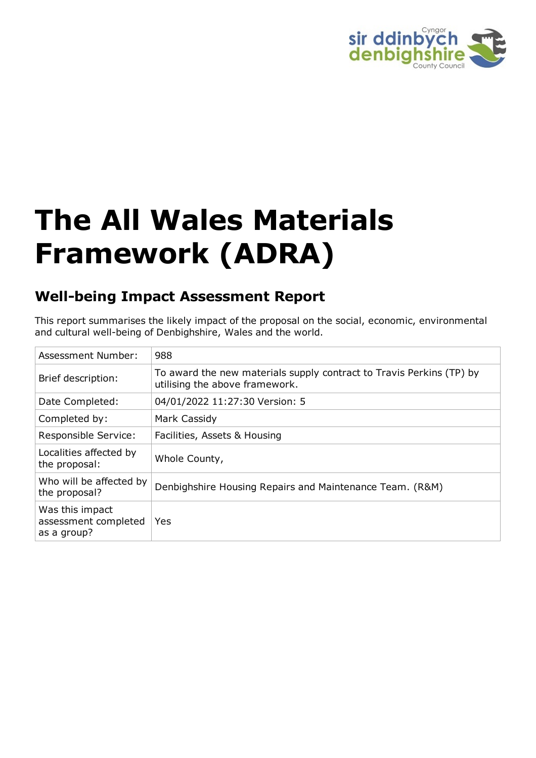

# **The All Wales Materials Framework (ADRA)**

## **Well-being Impact Assessment Report**

This report summarises the likely impact of the proposal on the social, economic, environmental and cultural well-being of Denbighshire, Wales and the world.

| Assessment Number:                                     | 988                                                                                                    |
|--------------------------------------------------------|--------------------------------------------------------------------------------------------------------|
| Brief description:                                     | To award the new materials supply contract to Travis Perkins (TP) by<br>utilising the above framework. |
| Date Completed:                                        | 04/01/2022 11:27:30 Version: 5                                                                         |
| Completed by:                                          | Mark Cassidy                                                                                           |
| Responsible Service:                                   | Facilities, Assets & Housing                                                                           |
| Localities affected by<br>the proposal:                | Whole County,                                                                                          |
| Who will be affected by<br>the proposal?               | Denbighshire Housing Repairs and Maintenance Team. (R&M)                                               |
| Was this impact<br>assessment completed<br>as a group? | Yes                                                                                                    |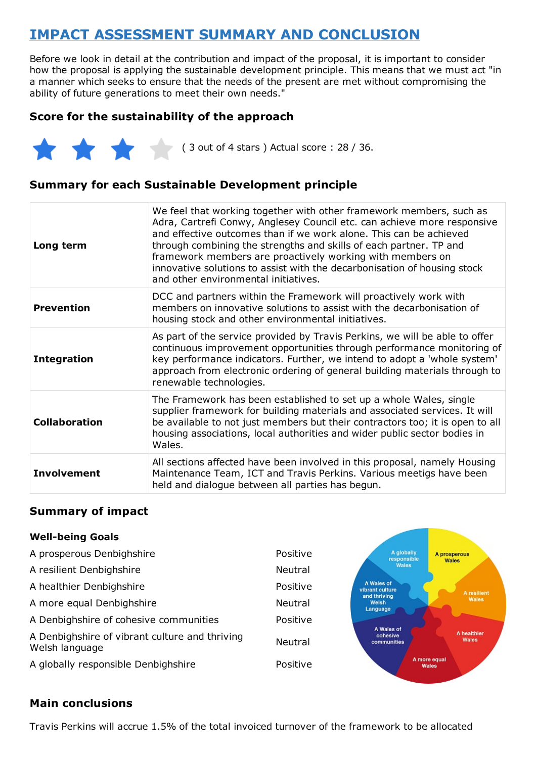## **IMPACT ASSESSMENT SUMMARY AND CONCLUSION**

Before we look in detail at the contribution and impact of the proposal, it is important to consider how the proposal is applying the sustainable development principle. This means that we must act "in a manner which seeks to ensure that the needs of the present are met without compromising the ability of future generations to meet their own needs."

## **Score for the sustainability of the approach**



( 3 out of 4 stars ) Actual score : 28 / 36.

## **Summary for each Sustainable Development principle**

| Long term            | We feel that working together with other framework members, such as<br>Adra, Cartrefi Conwy, Anglesey Council etc. can achieve more responsive<br>and effective outcomes than if we work alone. This can be achieved<br>through combining the strengths and skills of each partner. TP and<br>framework members are proactively working with members on<br>innovative solutions to assist with the decarbonisation of housing stock<br>and other environmental initiatives. |
|----------------------|-----------------------------------------------------------------------------------------------------------------------------------------------------------------------------------------------------------------------------------------------------------------------------------------------------------------------------------------------------------------------------------------------------------------------------------------------------------------------------|
| <b>Prevention</b>    | DCC and partners within the Framework will proactively work with<br>members on innovative solutions to assist with the decarbonisation of<br>housing stock and other environmental initiatives.                                                                                                                                                                                                                                                                             |
| <b>Integration</b>   | As part of the service provided by Travis Perkins, we will be able to offer<br>continuous improvement opportunities through performance monitoring of<br>key performance indicators. Further, we intend to adopt a 'whole system'<br>approach from electronic ordering of general building materials through to<br>renewable technologies.                                                                                                                                  |
| <b>Collaboration</b> | The Framework has been established to set up a whole Wales, single<br>supplier framework for building materials and associated services. It will<br>be available to not just members but their contractors too; it is open to all<br>housing associations, local authorities and wider public sector bodies in<br>Wales.                                                                                                                                                    |
| <b>Involvement</b>   | All sections affected have been involved in this proposal, namely Housing<br>Maintenance Team, ICT and Travis Perkins. Various meetigs have been<br>held and dialogue between all parties has begun.                                                                                                                                                                                                                                                                        |

#### **Summary of impact**

#### **Well-being Goals**

| A prosperous Denbighshire                                        | Positive       | A globally<br>responsible             | A prosperous<br><b>Wales</b> |
|------------------------------------------------------------------|----------------|---------------------------------------|------------------------------|
| A resilient Denbighshire                                         | <b>Neutral</b> | <b>Wales</b>                          |                              |
| A healthier Denbighshire                                         | Positive       | A Wales of<br>vibrant culture         | A resilient                  |
| A more equal Denbighshire                                        | Neutral        | and thriving<br>Welsh<br>Language     | Wales                        |
| A Denbighshire of cohesive communities                           | Positive       |                                       |                              |
| A Denbighshire of vibrant culture and thriving<br>Welsh language | Neutral        | A Wales of<br>cohesive<br>communities | A healthier<br><b>Wales</b>  |
| A globally responsible Denbighshire                              | Positive       |                                       | A more equal<br><b>Wales</b> |

#### **Main conclusions**

Travis Perkins will accrue 1.5% of the total invoiced turnover of the framework to be allocated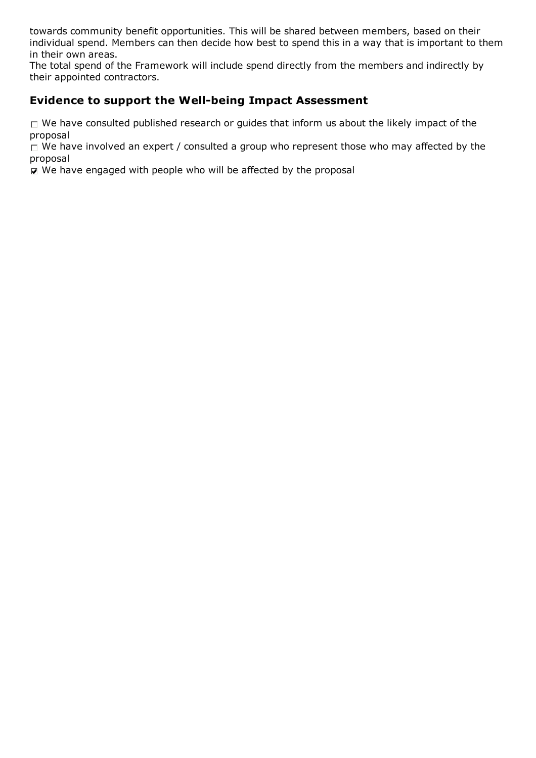towards community benefit opportunities. This will be shared between members, based on their individual spend. Members can then decide how best to spend this in a way that is important to them in their own areas.

The total spend of the Framework will include spend directly from the members and indirectly by their appointed contractors.

## **Evidence to support the Well-being Impact Assessment**

 $\Box$  We have consulted published research or guides that inform us about the likely impact of the proposal

 $\Box$  We have involved an expert / consulted a group who represent those who may affected by the proposal

 $□$  We have engaged with people who will be affected by the proposal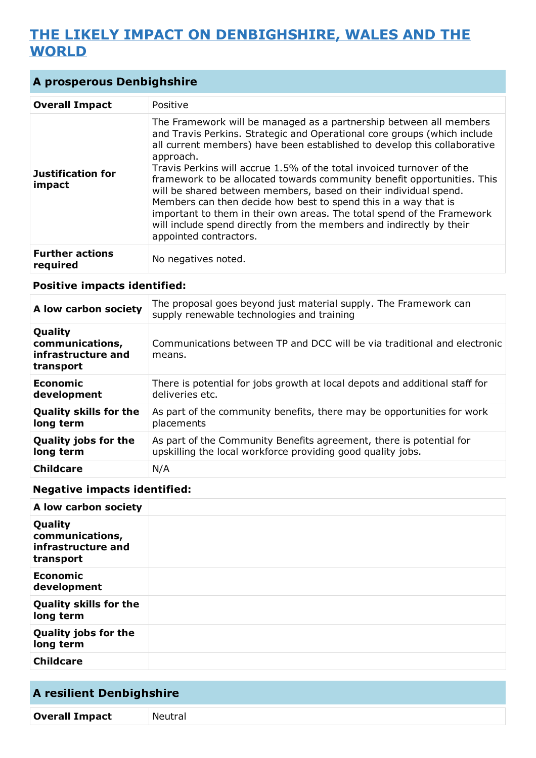## **THE LIKELY IMPACT ON DENBIGHSHIRE, WALES AND THE WORLD**

## **A prosperous Denbighshire**

| <b>Overall Impact</b>              | Positive                                                                                                                                                                                                                                                                                                                                                                                                                                                                                                                                                                                                                                                                                                       |
|------------------------------------|----------------------------------------------------------------------------------------------------------------------------------------------------------------------------------------------------------------------------------------------------------------------------------------------------------------------------------------------------------------------------------------------------------------------------------------------------------------------------------------------------------------------------------------------------------------------------------------------------------------------------------------------------------------------------------------------------------------|
| <b>Justification for</b><br>impact | The Framework will be managed as a partnership between all members<br>and Travis Perkins. Strategic and Operational core groups (which include<br>all current members) have been established to develop this collaborative<br>approach.<br>Travis Perkins will accrue 1.5% of the total invoiced turnover of the<br>framework to be allocated towards community benefit opportunities. This<br>will be shared between members, based on their individual spend.<br>Members can then decide how best to spend this in a way that is<br>important to them in their own areas. The total spend of the Framework<br>will include spend directly from the members and indirectly by their<br>appointed contractors. |
| <b>Further actions</b><br>required | No negatives noted.                                                                                                                                                                                                                                                                                                                                                                                                                                                                                                                                                                                                                                                                                            |

#### **Positive impacts identified:**

| A low carbon society                                          | The proposal goes beyond just material supply. The Framework can<br>supply renewable technologies and training |
|---------------------------------------------------------------|----------------------------------------------------------------------------------------------------------------|
| Quality<br>communications,<br>infrastructure and<br>transport | Communications between TP and DCC will be via traditional and electronic<br>means.                             |
| <b>Economic</b>                                               | There is potential for jobs growth at local depots and additional staff for                                    |
| development                                                   | deliveries etc.                                                                                                |
| <b>Quality skills for the</b>                                 | As part of the community benefits, there may be opportunities for work                                         |
| long term                                                     | placements                                                                                                     |
| <b>Quality jobs for the</b>                                   | As part of the Community Benefits agreement, there is potential for                                            |
| long term                                                     | upskilling the local workforce providing good quality jobs.                                                    |
| <b>Childcare</b>                                              | N/A                                                                                                            |

## **Negative impacts identified:**

| A low carbon society                                          |  |
|---------------------------------------------------------------|--|
| Quality<br>communications,<br>infrastructure and<br>transport |  |
| <b>Economic</b><br>development                                |  |
| <b>Quality skills for the</b><br>long term                    |  |
| <b>Quality jobs for the</b><br>long term                      |  |
| <b>Childcare</b>                                              |  |

## **A resilient Denbighshire Overall Impact** Neutral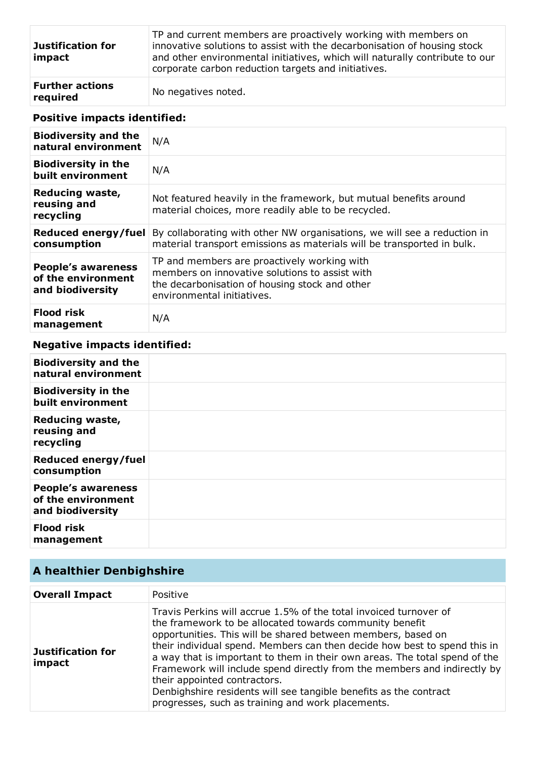| Justification for<br>impact        | TP and current members are proactively working with members on<br>innovative solutions to assist with the decarbonisation of housing stock<br>and other environmental initiatives, which will naturally contribute to our<br>corporate carbon reduction targets and initiatives. |
|------------------------------------|----------------------------------------------------------------------------------------------------------------------------------------------------------------------------------------------------------------------------------------------------------------------------------|
| <b>Further actions</b><br>required | No negatives noted.                                                                                                                                                                                                                                                              |

## **Positive impacts identified:**

| <b>Biodiversity and the</b><br>natural environment                  | N/A                                                                                                                                                                           |
|---------------------------------------------------------------------|-------------------------------------------------------------------------------------------------------------------------------------------------------------------------------|
| <b>Biodiversity in the</b><br>built environment                     | N/A                                                                                                                                                                           |
| Reducing waste,<br>reusing and<br>recycling                         | Not featured heavily in the framework, but mutual benefits around<br>material choices, more readily able to be recycled.                                                      |
| Reduced energy/fuel<br>consumption                                  | By collaborating with other NW organisations, we will see a reduction in<br>material transport emissions as materials will be transported in bulk.                            |
| <b>People's awareness</b><br>of the environment<br>and biodiversity | TP and members are proactively working with<br>members on innovative solutions to assist with<br>the decarbonisation of housing stock and other<br>environmental initiatives. |
| <b>Flood risk</b><br>management                                     | N/A                                                                                                                                                                           |

## **Negative impacts identified:**

| <b>Biodiversity and the</b><br>natural environment                  |  |
|---------------------------------------------------------------------|--|
| <b>Biodiversity in the</b><br>built environment                     |  |
| <b>Reducing waste,</b><br>reusing and<br>recycling                  |  |
| Reduced energy/fuel<br>consumption                                  |  |
| <b>People's awareness</b><br>of the environment<br>and biodiversity |  |
| <b>Flood risk</b><br>management                                     |  |

## **A healthier Denbighshire**

| <b>Overall Impact</b>              | Positive                                                                                                                                                                                                                                                                                                                                                                                                                                                                                                                                                                                      |
|------------------------------------|-----------------------------------------------------------------------------------------------------------------------------------------------------------------------------------------------------------------------------------------------------------------------------------------------------------------------------------------------------------------------------------------------------------------------------------------------------------------------------------------------------------------------------------------------------------------------------------------------|
| <b>Justification for</b><br>impact | Travis Perkins will accrue 1.5% of the total invoiced turnover of<br>the framework to be allocated towards community benefit<br>opportunities. This will be shared between members, based on<br>their individual spend. Members can then decide how best to spend this in<br>a way that is important to them in their own areas. The total spend of the<br>Framework will include spend directly from the members and indirectly by<br>their appointed contractors.<br>Denbighshire residents will see tangible benefits as the contract<br>progresses, such as training and work placements. |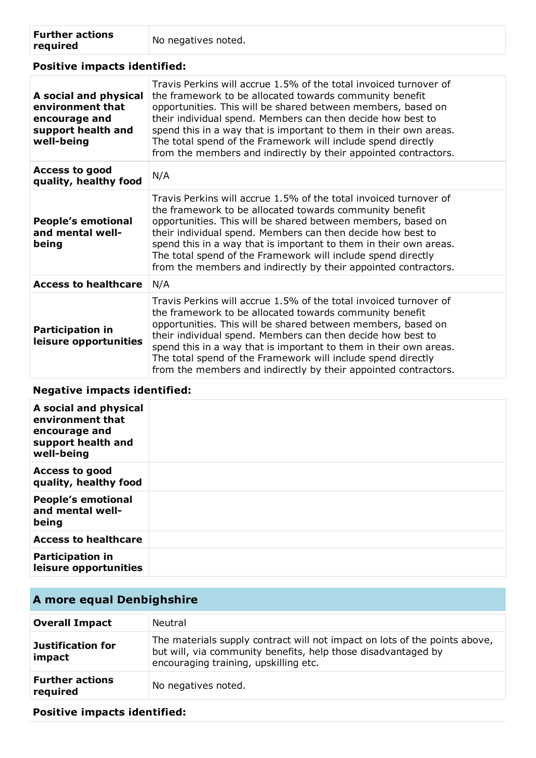| <b>Further actions</b> | No negatives noted. |
|------------------------|---------------------|
| required               |                     |

| <b>Positive impacts identified:</b>                                                            |                                                                                                                                                                                                                                                                                                                                                                                                                                                                     |  |
|------------------------------------------------------------------------------------------------|---------------------------------------------------------------------------------------------------------------------------------------------------------------------------------------------------------------------------------------------------------------------------------------------------------------------------------------------------------------------------------------------------------------------------------------------------------------------|--|
| A social and physical<br>environment that<br>encourage and<br>support health and<br>well-being | Travis Perkins will accrue 1.5% of the total invoiced turnover of<br>the framework to be allocated towards community benefit<br>opportunities. This will be shared between members, based on<br>their individual spend. Members can then decide how best to<br>spend this in a way that is important to them in their own areas.<br>The total spend of the Framework will include spend directly<br>from the members and indirectly by their appointed contractors. |  |
| <b>Access to good</b><br>quality, healthy food                                                 | N/A                                                                                                                                                                                                                                                                                                                                                                                                                                                                 |  |
| <b>People's emotional</b><br>and mental well-<br>being                                         | Travis Perkins will accrue 1.5% of the total invoiced turnover of<br>the framework to be allocated towards community benefit<br>opportunities. This will be shared between members, based on<br>their individual spend. Members can then decide how best to<br>spend this in a way that is important to them in their own areas.<br>The total spend of the Framework will include spend directly<br>from the members and indirectly by their appointed contractors. |  |
| <b>Access to healthcare</b>                                                                    | N/A                                                                                                                                                                                                                                                                                                                                                                                                                                                                 |  |
| <b>Participation in</b><br>leisure opportunities                                               | Travis Perkins will accrue 1.5% of the total invoiced turnover of<br>the framework to be allocated towards community benefit<br>opportunities. This will be shared between members, based on<br>their individual spend. Members can then decide how best to<br>spend this in a way that is important to them in their own areas.<br>The total spend of the Framework will include spend directly<br>from the members and indirectly by their appointed contractors. |  |

## **Negative impacts identified:**

| A social and physical<br>environment that<br>encourage and<br>support health and<br>well-being |  |
|------------------------------------------------------------------------------------------------|--|
| <b>Access to good</b><br>quality, healthy food                                                 |  |
| <b>People's emotional</b><br>and mental well-<br>being                                         |  |
| <b>Access to healthcare</b>                                                                    |  |
| <b>Participation in</b><br>leisure opportunities                                               |  |

## **A more equal Denbighshire**

| <b>Overall Impact</b>              | Neutral                                                                                                                                                                              |
|------------------------------------|--------------------------------------------------------------------------------------------------------------------------------------------------------------------------------------|
| Justification for<br>impact        | The materials supply contract will not impact on lots of the points above,<br>but will, via community benefits, help those disadvantaged by<br>encouraging training, upskilling etc. |
| <b>Further actions</b><br>required | No negatives noted.                                                                                                                                                                  |

**Positive impacts identified:**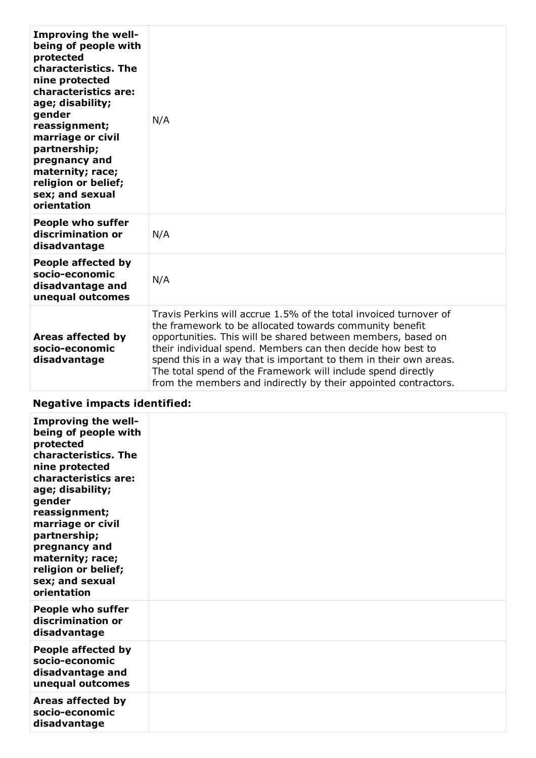| <b>Improving the well-</b><br>being of people with<br>protected<br>characteristics. The<br>nine protected<br>characteristics are:<br>age; disability;<br>gender<br>reassignment;<br>marriage or civil<br>partnership;<br>pregnancy and<br>maternity; race;<br>religion or belief;<br>sex; and sexual<br>orientation | N/A                                                                                                                                                                                                                                                                                                                                                                                                                                                                 |
|---------------------------------------------------------------------------------------------------------------------------------------------------------------------------------------------------------------------------------------------------------------------------------------------------------------------|---------------------------------------------------------------------------------------------------------------------------------------------------------------------------------------------------------------------------------------------------------------------------------------------------------------------------------------------------------------------------------------------------------------------------------------------------------------------|
| <b>People who suffer</b><br>discrimination or<br>disadvantage                                                                                                                                                                                                                                                       | N/A                                                                                                                                                                                                                                                                                                                                                                                                                                                                 |
| People affected by<br>socio-economic<br>disadvantage and<br>unequal outcomes                                                                                                                                                                                                                                        | N/A                                                                                                                                                                                                                                                                                                                                                                                                                                                                 |
| <b>Areas affected by</b><br>socio-economic<br>disadvantage                                                                                                                                                                                                                                                          | Travis Perkins will accrue 1.5% of the total invoiced turnover of<br>the framework to be allocated towards community benefit<br>opportunities. This will be shared between members, based on<br>their individual spend. Members can then decide how best to<br>spend this in a way that is important to them in their own areas.<br>The total spend of the Framework will include spend directly<br>from the members and indirectly by their appointed contractors. |

## **Negative impacts identified:**

| Improving the well-<br>being of people with<br>protected<br>characteristics. The<br>nine protected<br>characteristics are:<br>age; disability;<br>gender<br>reassignment;<br>marriage or civil<br>partnership;<br>pregnancy and<br>maternity; race;<br>religion or belief;<br>sex; and sexual<br>orientation |  |
|--------------------------------------------------------------------------------------------------------------------------------------------------------------------------------------------------------------------------------------------------------------------------------------------------------------|--|
| <b>People who suffer</b><br>discrimination or<br>disadvantage                                                                                                                                                                                                                                                |  |
| People affected by<br>socio-economic<br>disadvantage and<br>unequal outcomes                                                                                                                                                                                                                                 |  |
| Areas affected by<br>socio-economic<br>disadvantage                                                                                                                                                                                                                                                          |  |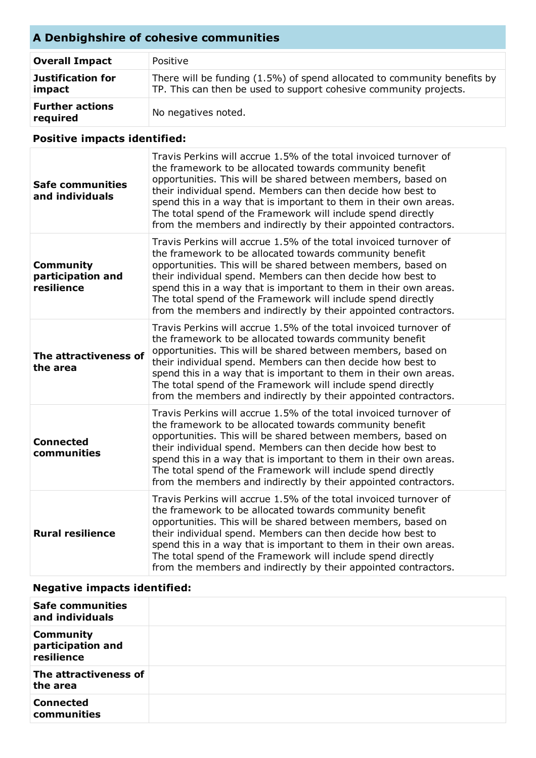## **A Denbighshire of cohesive communities**

| <b>Overall Impact</b>              | Positive                                                                                                                                      |
|------------------------------------|-----------------------------------------------------------------------------------------------------------------------------------------------|
| Justification for<br>impact        | There will be funding (1.5%) of spend allocated to community benefits by<br>TP. This can then be used to support cohesive community projects. |
| <b>Further actions</b><br>required | No negatives noted.                                                                                                                           |

## **Positive impacts identified:**

| <b>Safe communities</b><br>and individuals          | Travis Perkins will accrue 1.5% of the total invoiced turnover of<br>the framework to be allocated towards community benefit<br>opportunities. This will be shared between members, based on<br>their individual spend. Members can then decide how best to<br>spend this in a way that is important to them in their own areas.<br>The total spend of the Framework will include spend directly<br>from the members and indirectly by their appointed contractors. |
|-----------------------------------------------------|---------------------------------------------------------------------------------------------------------------------------------------------------------------------------------------------------------------------------------------------------------------------------------------------------------------------------------------------------------------------------------------------------------------------------------------------------------------------|
| <b>Community</b><br>participation and<br>resilience | Travis Perkins will accrue 1.5% of the total invoiced turnover of<br>the framework to be allocated towards community benefit<br>opportunities. This will be shared between members, based on<br>their individual spend. Members can then decide how best to<br>spend this in a way that is important to them in their own areas.<br>The total spend of the Framework will include spend directly<br>from the members and indirectly by their appointed contractors. |
| The attractiveness of<br>the area                   | Travis Perkins will accrue 1.5% of the total invoiced turnover of<br>the framework to be allocated towards community benefit<br>opportunities. This will be shared between members, based on<br>their individual spend. Members can then decide how best to<br>spend this in a way that is important to them in their own areas.<br>The total spend of the Framework will include spend directly<br>from the members and indirectly by their appointed contractors. |
| <b>Connected</b><br>communities                     | Travis Perkins will accrue 1.5% of the total invoiced turnover of<br>the framework to be allocated towards community benefit<br>opportunities. This will be shared between members, based on<br>their individual spend. Members can then decide how best to<br>spend this in a way that is important to them in their own areas.<br>The total spend of the Framework will include spend directly<br>from the members and indirectly by their appointed contractors. |
| <b>Rural resilience</b>                             | Travis Perkins will accrue 1.5% of the total invoiced turnover of<br>the framework to be allocated towards community benefit<br>opportunities. This will be shared between members, based on<br>their individual spend. Members can then decide how best to<br>spend this in a way that is important to them in their own areas.<br>The total spend of the Framework will include spend directly<br>from the members and indirectly by their appointed contractors. |

## **Negative impacts identified:**

| <b>Safe communities</b><br>and individuals          |  |
|-----------------------------------------------------|--|
| <b>Community</b><br>participation and<br>resilience |  |
| The attractiveness of<br>the area                   |  |
| <b>Connected</b><br>communities                     |  |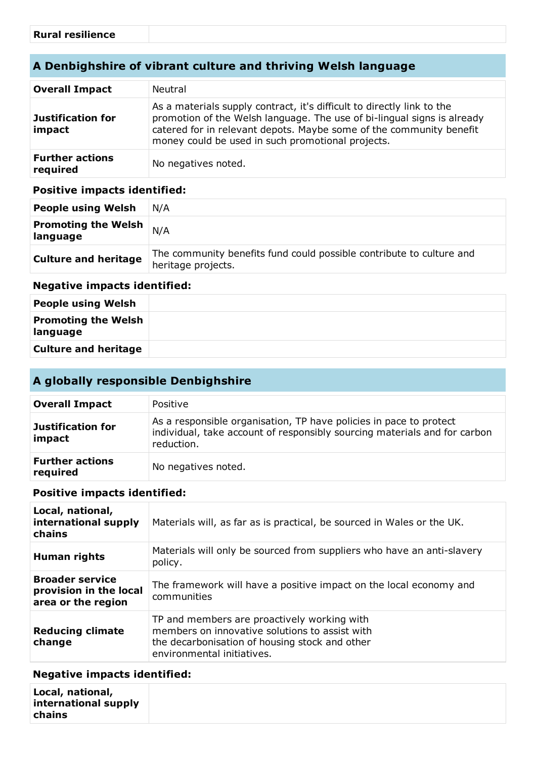## **A Denbighshire of vibrant culture and thriving Welsh language**

| <b>Overall Impact</b>              | Neutral                                                                                                                                                                                                                                                                       |
|------------------------------------|-------------------------------------------------------------------------------------------------------------------------------------------------------------------------------------------------------------------------------------------------------------------------------|
| Justification for<br>impact        | As a materials supply contract, it's difficult to directly link to the<br>promotion of the Welsh language. The use of bi-lingual signs is already<br>catered for in relevant depots. Maybe some of the community benefit<br>money could be used in such promotional projects. |
| <b>Further actions</b><br>required | No negatives noted.                                                                                                                                                                                                                                                           |

#### **Positive impacts identified:**

| <b>People using Welsh</b>              | N/A                                                                                        |
|----------------------------------------|--------------------------------------------------------------------------------------------|
| <b>Promoting the Welsh</b><br>language | N/A                                                                                        |
| <b>Culture and heritage</b>            | The community benefits fund could possible contribute to culture and<br>heritage projects. |

#### **Negative impacts identified:**

| <b>People using Welsh</b>              |  |
|----------------------------------------|--|
| <b>Promoting the Welsh</b><br>language |  |
| <b>Culture and heritage</b>            |  |

## **A globally responsible Denbighshire**

| <b>Overall Impact</b>              | Positive                                                                                                                                                      |
|------------------------------------|---------------------------------------------------------------------------------------------------------------------------------------------------------------|
| Justification for<br>impact        | As a responsible organisation, TP have policies in pace to protect<br>individual, take account of responsibly sourcing materials and for carbon<br>reduction. |
| <b>Further actions</b><br>required | No negatives noted.                                                                                                                                           |

#### **Positive impacts identified:**

| Local, national,<br>international supply<br>chains                     | Materials will, as far as is practical, be sourced in Wales or the UK.                                                                                                        |
|------------------------------------------------------------------------|-------------------------------------------------------------------------------------------------------------------------------------------------------------------------------|
| <b>Human rights</b>                                                    | Materials will only be sourced from suppliers who have an anti-slavery<br>policy.                                                                                             |
| <b>Broader service</b><br>provision in the local<br>area or the region | The framework will have a positive impact on the local economy and<br>communities                                                                                             |
| <b>Reducing climate</b><br>change                                      | TP and members are proactively working with<br>members on innovative solutions to assist with<br>the decarbonisation of housing stock and other<br>environmental initiatives. |

#### **Negative impacts identified:**

| Local, national,<br>international supply<br>chains |  |
|----------------------------------------------------|--|
|----------------------------------------------------|--|